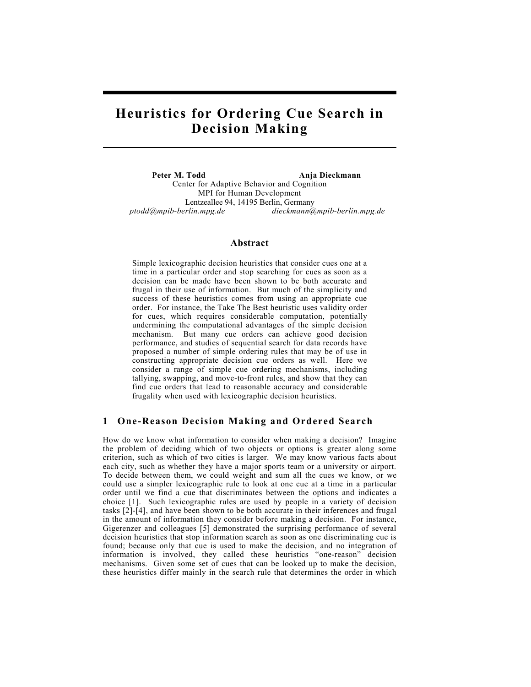# Heuristics for Ordering Cue Search in Decision Making

Peter M. Todd Anja Dieckmann Center for Adaptive Behavior and Cognition MPI for Human Development Lentzeallee 94, 14195 Berlin, Germany ptodd@mpib-berlin.mpg.de dieckmann@mpib-berlin.mpg.de

## Abstract

Simple lexicographic decision heuristics that consider cues one at a time in a particular order and stop searching for cues as soon as a decision can be made have been shown to be both accurate and frugal in their use of information. But much of the simplicity and success of these heuristics comes from using an appropriate cue order. For instance, the Take The Best heuristic uses validity order for cues, which requires considerable computation, potentially undermining the computational advantages of the simple decision mechanism. But many cue orders can achieve good decision performance, and studies of sequential search for data records have proposed a number of simple ordering rules that may be of use in constructing appropriate decision cue orders as well. Here we consider a range of simple cue ordering mechanisms, including tallying, swapping, and move-to-front rules, and show that they can find cue orders that lead to reasonable accuracy and considerable frugality when used with lexicographic decision heuristics.

### 1 One-Reason Decision Making and Ordered Search

How do we know what information to consider when making a decision? Imagine the problem of deciding which of two objects or options is greater along some criterion, such as which of two cities is larger. We may know various facts about each city, such as whether they have a major sports team or a university or airport. To decide between them, we could weight and sum all the cues we know, or we could use a simpler lexicographic rule to look at one cue at a time in a particular order until we find a cue that discriminates between the options and indicates a choice [1]. Such lexicographic rules are used by people in a variety of decision tasks [2]-[4], and have been shown to be both accurate in their inferences and frugal in the amount of information they consider before making a decision. For instance, Gigerenzer and colleagues [5] demonstrated the surprising performance of several decision heuristics that stop information search as soon as one discriminating cue is found; because only that cue is used to make the decision, and no integration of information is involved, they called these heuristics "one-reason" decision mechanisms. Given some set of cues that can be looked up to make the decision, these heuristics differ mainly in the search rule that determines the order in which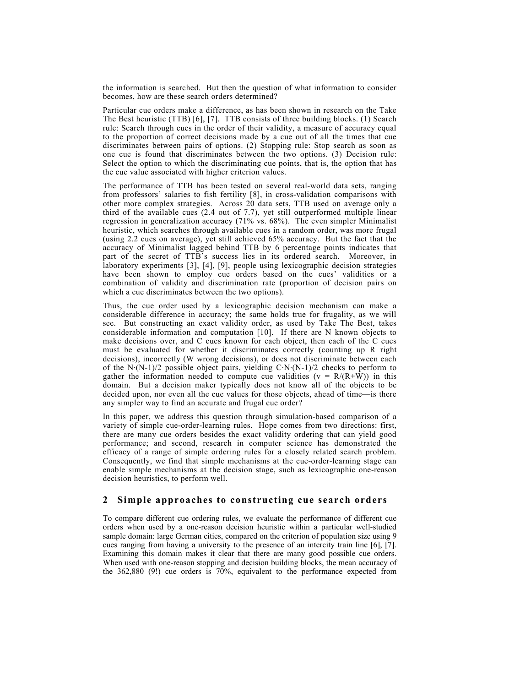the information is searched. But then the question of what information to consider becomes, how are these search orders determined?

Particular cue orders make a difference, as has been shown in research on the Take The Best heuristic (TTB) [6], [7]. TTB consists of three building blocks. (1) Search rule: Search through cues in the order of their validity, a measure of accuracy equal to the proportion of correct decisions made by a cue out of all the times that cue discriminates between pairs of options. (2) Stopping rule: Stop search as soon as one cue is found that discriminates between the two options. (3) Decision rule: Select the option to which the discriminating cue points, that is, the option that has the cue value associated with higher criterion values.

The performance of TTB has been tested on several real-world data sets, ranging from professors' salaries to fish fertility [8], in cross-validation comparisons with other more complex strategies. Across 20 data sets, TTB used on average only a third of the available cues (2.4 out of 7.7), yet still outperformed multiple linear regression in generalization accuracy (71% vs. 68%). The even simpler Minimalist heuristic, which searches through available cues in a random order, was more frugal (using 2.2 cues on average), yet still achieved 65% accuracy. But the fact that the accuracy of Minimalist lagged behind TTB by 6 percentage points indicates that part of the secret of TTB's success lies in its ordered search. Moreover, in laboratory experiments [3], [4], [9], people using lexicographic decision strategies have been shown to employ cue orders based on the cues' validities or a combination of validity and discrimination rate (proportion of decision pairs on which a cue discriminates between the two options).

Thus, the cue order used by a lexicographic decision mechanism can make a considerable difference in accuracy; the same holds true for frugality, as we will see. But constructing an exact validity order, as used by Take The Best, takes considerable information and computation [10]. If there are N known objects to make decisions over, and C cues known for each object, then each of the C cues must be evaluated for whether it discriminates correctly (counting up R right decisions), incorrectly (W wrong decisions), or does not discriminate between each of the N·(N-1)/2 possible object pairs, yielding C·N·(N-1)/2 checks to perform to gather the information needed to compute cue validities ( $v = R/(R+\hat{W})$ ) in this domain. But a decision maker typically does not know all of the objects to be decided upon, nor even all the cue values for those objects, ahead of time-is there any simpler way to find an accurate and frugal cue order?

In this paper, we address this question through simulation-based comparison of a variety of simple cue-order-learning rules. Hope comes from two directions: first, there are many cue orders besides the exact validity ordering that can yield good performance; and second, research in computer science has demonstrated the efficacy of a range of simple ordering rules for a closely related search problem. Consequently, we find that simple mechanisms at the cue-order-learning stage can enable simple mechanisms at the decision stage, such as lexicographic one-reason decision heuristics, to perform well.

## 2 Simple approaches to constructing cue search orders

To compare different cue ordering rules, we evaluate the performance of different cue orders when used by a one-reason decision heuristic within a particular well-studied sample domain: large German cities, compared on the criterion of population size using 9 cues ranging from having a university to the presence of an intercity train line [6], [7]. Examining this domain makes it clear that there are many good possible cue orders. When used with one-reason stopping and decision building blocks, the mean accuracy of the 362,880 (9!) cue orders is 70%, equivalent to the performance expected from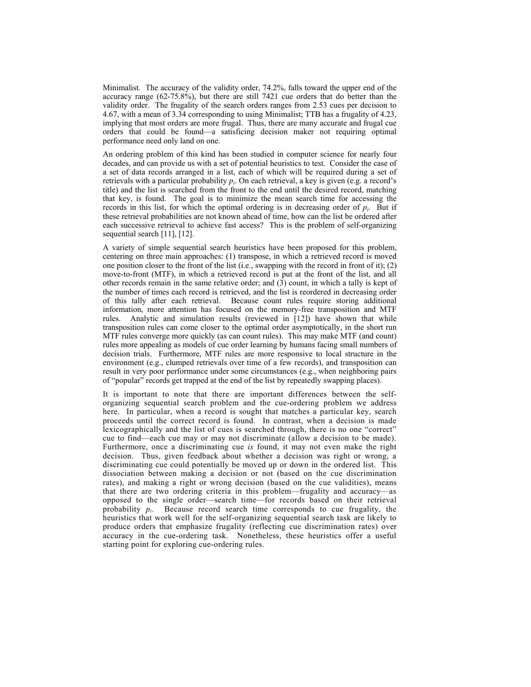Minimalist. The accuracy of the validity order, 74.2%, falls toward the upper end of the accuracy range (62-75.8%), but there are still 7421 cue orders that do better than the validity order. The frugality of the search orders ranges from 2.53 cues per decision to 4.67, with a mean of 3.34 corresponding to using Minimalist; TTB has a frugality of 4.23, implying that most orders are more frugal. Thus, there are many accurate and frugal cue orders that could be found—a satisficing decision maker not requiring optimal performance need only land on one.

An ordering problem of this kind has been studied in computer science for nearly four decades, and can provide us with a set of potential heuristics to test. Consider the case of a set of data records arranged in a list, each of which will be required during a set of retrievals with a particular probability  $p_i$ . On each retrieval, a key is given (e.g. a record's title) and the list is searched from the front to the end until the desired record, matching that key, is found. The goal is to minimize the mean search time for accessing the records in this list, for which the optimal ordering is in decreasing order of  $p_i$ . But if these retrieval probabilities are not known ahead of time, how can the list be ordered after each successive retrieval to achieve fast access? This is the problem of self-organizing sequential search [11], [12].

A variety of simple sequential search heuristics have been proposed for this problem, centering on three main approaches: (1) transpose, in which a retrieved record is moved one position closer to the front of the list (i.e., swapping with the record in front of it); (2) move-to-front (MTF), in which a retrieved record is put at the front of the list, and all other records remain in the same relative order; and  $(\hat{3})$  count, in which a tally is kept of the number of times each record is retrieved, and the list is reordered in decreasing order of this tally after each retrieval. Because count rules require storing additional information, more attention has focused on the memory-free transposition and MTF rules. Analytic and simulation results (reviewed in [12]) have shown that while transposition rules can come closer to the optimal order asymptotically, in the short run MTF rules converge more quickly (as can count rules). This may make MTF (and count) rules more appealing as models of cue order learning by humans facing small numbers of decision trials. Furthermore, MTF rules are more responsive to local structure in the environment (e.g., clumped retrievals over time of a few records), and transposition can result in very poor performance under some circumstances (e.g., when neighboring pairs of "popular" records get trapped at the end of the list by repeatedly swapping places).

It is important to note that there are important differences between the selforganizing sequential search problem and the cue-ordering problem we address here. In particular, when a record is sought that matches a particular key, search proceeds until the correct record is found. In contrast, when a decision is made lexicographically and the list of cues is searched through, there is no one "correct" cue to find—each cue may or may not discriminate (allow a decision to be made). Furthermore, once a discriminating cue is found, it may not even make the right decision. Thus, given feedback about whether a decision was right or wrong, a discriminating cue could potentially be moved up or down in the ordered list. This dissociation between making a decision or not (based on the cue discrimination rates), and making a right or wrong decision (based on the cue validities), means that there are two ordering criteria in this problem—frugality and accuracy—as opposed to the single order—search time—for records based on their retrieval probability  $p_i$ . Because record search time corresponds to cue frugality, the heuristics that work well for the self-organizing sequential search task are likely to produce orders that emphasize frugality (reflecting cue discrimination rates) over accuracy in the cue-ordering task. Nonetheless, these heuristics offer a useful starting point for exploring cue-ordering rules.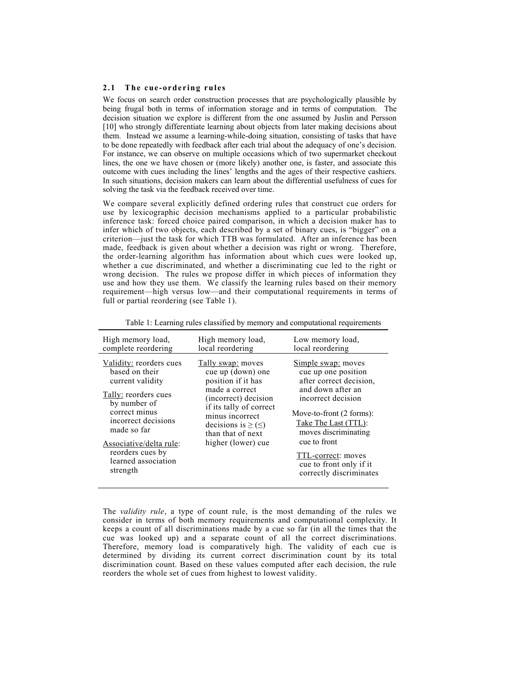#### 2.1 The cue-ordering rules

We focus on search order construction processes that are psychologically plausible by being frugal both in terms of information storage and in terms of computation. The decision situation we explore is different from the one assumed by Juslin and Persson [10] who strongly differentiate learning about objects from later making decisions about them. Instead we assume a learning-while-doing situation, consisting of tasks that have to be done repeatedly with feedback after each trial about the adequacy of one's decision. For instance, we can observe on multiple occasions which of two supermarket checkout lines, the one we have chosen or (more likely) another one, is faster, and associate this outcome with cues including the linesí lengths and the ages of their respective cashiers. In such situations, decision makers can learn about the differential usefulness of cues for solving the task via the feedback received over time.

We compare several explicitly defined ordering rules that construct cue orders for use by lexicographic decision mechanisms applied to a particular probabilistic inference task: forced choice paired comparison, in which a decision maker has to infer which of two objects, each described by a set of binary cues, is "bigger" on a criterion—just the task for which TTB was formulated. After an inference has been made, feedback is given about whether a decision was right or wrong. Therefore, the order-learning algorithm has information about which cues were looked up, whether a cue discriminated, and whether a discriminating cue led to the right or wrong decision. The rules we propose differ in which pieces of information they use and how they use them. We classify the learning rules based on their memory requirement—high versus low—and their computational requirements in terms of full or partial reordering (see Table 1).

| High memory load,                                                                                                                                                                                                                              | High memory load,                                                                                                                                                                                                             | Low memory load,                                                                                                                                                                                                                                                                        |
|------------------------------------------------------------------------------------------------------------------------------------------------------------------------------------------------------------------------------------------------|-------------------------------------------------------------------------------------------------------------------------------------------------------------------------------------------------------------------------------|-----------------------------------------------------------------------------------------------------------------------------------------------------------------------------------------------------------------------------------------------------------------------------------------|
| complete reordering                                                                                                                                                                                                                            | local reordering                                                                                                                                                                                                              | local reordering                                                                                                                                                                                                                                                                        |
| Validity: reorders cues<br>based on their<br>current validity<br>Tally: reorders cues<br>by number of<br>correct minus<br>incorrect decisions<br>made so far<br>Associative/delta rule:<br>reorders cues by<br>learned association<br>strength | Tally swap: moves<br>cue up (down) one<br>position if it has<br>made a correct<br>(incorrect) decision<br>if its tally of correct<br>minus incorrect<br>decisions is $\geq (\leq)$<br>than that of next<br>higher (lower) cue | Simple swap: moves<br>cue up one position<br>after correct decision,<br>and down after an<br>incorrect decision<br>Move-to-front (2 forms):<br>Take The Last (TTL):<br>moves discriminating<br>cue to front<br>TTL-correct: moves<br>cue to front only if it<br>correctly discriminates |

Table 1: Learning rules classified by memory and computational requirements

The validity rule, a type of count rule, is the most demanding of the rules we consider in terms of both memory requirements and computational complexity. It keeps a count of all discriminations made by a cue so far (in all the times that the cue was looked up) and a separate count of all the correct discriminations. Therefore, memory load is comparatively high. The validity of each cue is determined by dividing its current correct discrimination count by its total discrimination count. Based on these values computed after each decision, the rule reorders the whole set of cues from highest to lowest validity.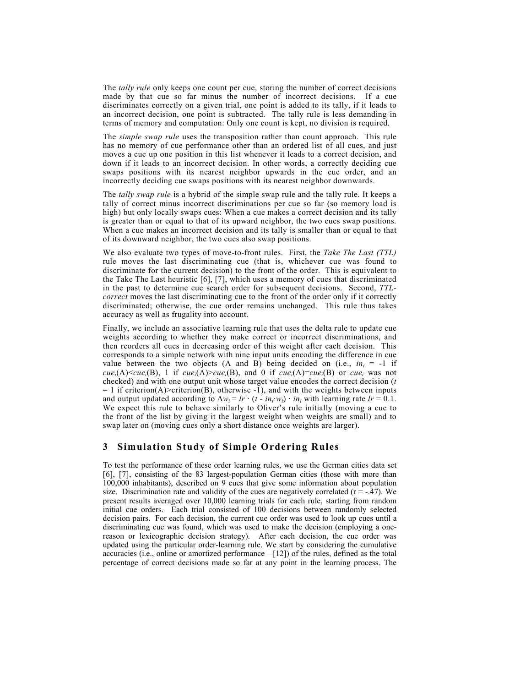The *tally rule* only keeps one count per cue, storing the number of correct decisions made by that cue so far minus the number of incorrect decisions. If a cue discriminates correctly on a given trial, one point is added to its tally, if it leads to an incorrect decision, one point is subtracted. The tally rule is less demanding in terms of memory and computation: Only one count is kept, no division is required.

The *simple swap rule* uses the transposition rather than count approach. This rule has no memory of cue performance other than an ordered list of all cues, and just moves a cue up one position in this list whenever it leads to a correct decision, and down if it leads to an incorrect decision. In other words, a correctly deciding cue swaps positions with its nearest neighbor upwards in the cue order, and an incorrectly deciding cue swaps positions with its nearest neighbor downwards.

The *tally swap rule* is a hybrid of the simple swap rule and the tally rule. It keeps a tally of correct minus incorrect discriminations per cue so far (so memory load is high) but only locally swaps cues: When a cue makes a correct decision and its tally is greater than or equal to that of its upward neighbor, the two cues swap positions. When a cue makes an incorrect decision and its tally is smaller than or equal to that of its downward neighbor, the two cues also swap positions.

We also evaluate two types of move-to-front rules. First, the Take The Last (TTL) rule moves the last discriminating cue (that is, whichever cue was found to discriminate for the current decision) to the front of the order. This is equivalent to the Take The Last heuristic [6], [7], which uses a memory of cues that discriminated in the past to determine cue search order for subsequent decisions. Second, TTLcorrect moves the last discriminating cue to the front of the order only if it correctly discriminated; otherwise, the cue order remains unchanged. This rule thus takes accuracy as well as frugality into account.

Finally, we include an associative learning rule that uses the delta rule to update cue weights according to whether they make correct or incorrect discriminations, and then reorders all cues in decreasing order of this weight after each decision. This corresponds to a simple network with nine input units encoding the difference in cue value between the two objects (A and B) being decided on (i.e.,  $in_i = -1$  if cue<sub>i</sub>(A)<cue<sub>i</sub>(B), 1 if cue<sub>i</sub>(A)>cue<sub>i</sub>(B), and 0 if cue<sub>i</sub>(A)=cue<sub>i</sub>(B) or cue<sub>i</sub> was not checked) and with one output unit whose target value encodes the correct decision  $(t)$  $= 1$  if criterion(A)>criterion(B), otherwise -1), and with the weights between inputs and output updated according to  $\Delta w_i = lr \cdot (t - in_i w_i) \cdot in_i$  with learning rate  $lr = 0.1$ . We expect this rule to behave similarly to Oliver's rule initially (moving a cue to the front of the list by giving it the largest weight when weights are small) and to swap later on (moving cues only a short distance once weights are larger).

## 3 Simulation Study of Simple Ordering Rules

To test the performance of these order learning rules, we use the German cities data set [6], [7], consisting of the 83 largest-population German cities (those with more than 100,000 inhabitants), described on 9 cues that give some information about population size. Discrimination rate and validity of the cues are negatively correlated  $(r = -.47)$ . We present results averaged over 10,000 learning trials for each rule, starting from random initial cue orders. Each trial consisted of 100 decisions between randomly selected decision pairs. For each decision, the current cue order was used to look up cues until a discriminating cue was found, which was used to make the decision (employing a onereason or lexicographic decision strategy). After each decision, the cue order was updated using the particular order-learning rule. We start by considering the cumulative  $accuracies (i.e., online or amortized performance—[12]) of the rules, defined as the total$ percentage of correct decisions made so far at any point in the learning process. The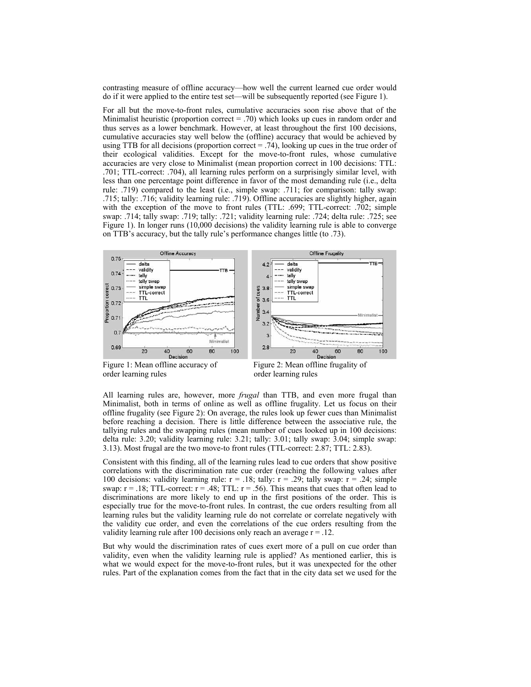contrasting measure of offline accuracy-how well the current learned cue order would do if it were applied to the entire test set—will be subsequently reported (see Figure 1).

For all but the move-to-front rules, cumulative accuracies soon rise above that of the Minimalist heuristic (proportion correct  $= .70$ ) which looks up cues in random order and thus serves as a lower benchmark. However, at least throughout the first 100 decisions, cumulative accuracies stay well below the (offline) accuracy that would be achieved by using TTB for all decisions (proportion correct = .74), looking up cues in the true order of their ecological validities. Except for the move-to-front rules, whose cumulative accuracies are very close to Minimalist (mean proportion correct in 100 decisions: TTL: .701; TTL-correct: .704), all learning rules perform on a surprisingly similar level, with less than one percentage point difference in favor of the most demanding rule (i.e., delta rule: .719) compared to the least (i.e., simple swap: .711; for comparison: tally swap: .715; tally: .716; validity learning rule: .719). Offline accuracies are slightly higher, again with the exception of the move to front rules (TTL: .699; TTL-correct: .702; simple swap: .714; tally swap: .719; tally: .721; validity learning rule: .724; delta rule: .725; see Figure 1). In longer runs (10,000 decisions) the validity learning rule is able to converge on TTB's accuracy, but the tally rule's performance changes little (to .73).



order learning rules order learning rules

Figure 1: Mean offline accuracy of Figure 2: Mean offline frugality of

All learning rules are, however, more *frugal* than TTB, and even more frugal than Minimalist, both in terms of online as well as offline frugality. Let us focus on their offline frugality (see Figure 2): On average, the rules look up fewer cues than Minimalist before reaching a decision. There is little difference between the associative rule, the tallying rules and the swapping rules (mean number of cues looked up in 100 decisions: delta rule: 3.20; validity learning rule: 3.21; tally: 3.01; tally swap: 3.04; simple swap: 3.13). Most frugal are the two move-to front rules (TTL-correct: 2.87; TTL: 2.83).

Consistent with this finding, all of the learning rules lead to cue orders that show positive correlations with the discrimination rate cue order (reaching the following values after 100 decisions: validity learning rule:  $r = .18$ ; tally:  $r = .29$ ; tally swap:  $r = .24$ ; simple swap:  $r = .18$ ; TTL-correct:  $r = .48$ ; TTL:  $r = .56$ ). This means that cues that often lead to discriminations are more likely to end up in the first positions of the order. This is especially true for the move-to-front rules. In contrast, the cue orders resulting from all learning rules but the validity learning rule do not correlate or correlate negatively with the validity cue order, and even the correlations of the cue orders resulting from the validity learning rule after 100 decisions only reach an average  $r = .12$ .

But why would the discrimination rates of cues exert more of a pull on cue order than validity, even when the validity learning rule is applied? As mentioned earlier, this is what we would expect for the move-to-front rules, but it was unexpected for the other rules. Part of the explanation comes from the fact that in the city data set we used for the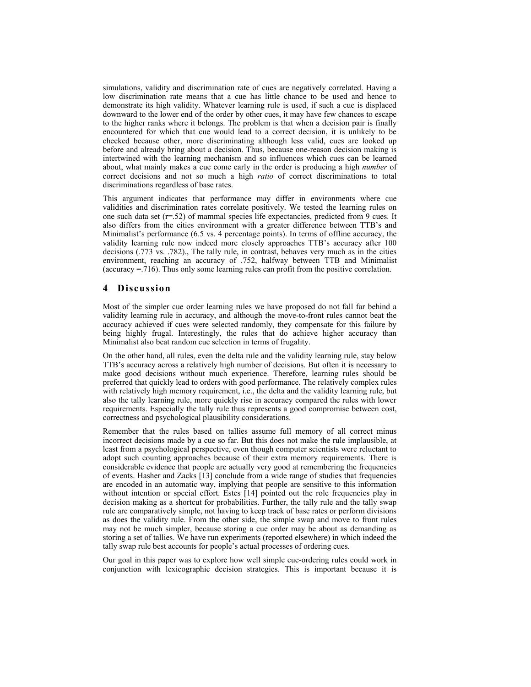simulations, validity and discrimination rate of cues are negatively correlated. Having a low discrimination rate means that a cue has little chance to be used and hence to demonstrate its high validity. Whatever learning rule is used, if such a cue is displaced downward to the lower end of the order by other cues, it may have few chances to escape to the higher ranks where it belongs. The problem is that when a decision pair is finally encountered for which that cue would lead to a correct decision, it is unlikely to be checked because other, more discriminating although less valid, cues are looked up before and already bring about a decision. Thus, because one-reason decision making is intertwined with the learning mechanism and so influences which cues can be learned about, what mainly makes a cue come early in the order is producing a high number of correct decisions and not so much a high *ratio* of correct discriminations to total discriminations regardless of base rates.

This argument indicates that performance may differ in environments where cue validities and discrimination rates correlate positively. We tested the learning rules on one such data set (r=.52) of mammal species life expectancies, predicted from 9 cues. It also differs from the cities environment with a greater difference between TTB's and Minimalist's performance (6.5 vs. 4 percentage points). In terms of offline accuracy, the validity learning rule now indeed more closely approaches TTB's accuracy after 100 decisions (.773 vs. .782)., The tally rule, in contrast, behaves very much as in the cities environment, reaching an accuracy of .752, halfway between TTB and Minimalist (accuracy =.716). Thus only some learning rules can profit from the positive correlation.

## 4 Discussion

Most of the simpler cue order learning rules we have proposed do not fall far behind a validity learning rule in accuracy, and although the move-to-front rules cannot beat the accuracy achieved if cues were selected randomly, they compensate for this failure by being highly frugal. Interestingly, the rules that do achieve higher accuracy than Minimalist also beat random cue selection in terms of frugality.

On the other hand, all rules, even the delta rule and the validity learning rule, stay below TTBís accuracy across a relatively high number of decisions. But often it is necessary to make good decisions without much experience. Therefore, learning rules should be preferred that quickly lead to orders with good performance. The relatively complex rules with relatively high memory requirement, i.e., the delta and the validity learning rule, but also the tally learning rule, more quickly rise in accuracy compared the rules with lower requirements. Especially the tally rule thus represents a good compromise between cost, correctness and psychological plausibility considerations.

Remember that the rules based on tallies assume full memory of all correct minus incorrect decisions made by a cue so far. But this does not make the rule implausible, at least from a psychological perspective, even though computer scientists were reluctant to adopt such counting approaches because of their extra memory requirements. There is considerable evidence that people are actually very good at remembering the frequencies of events. Hasher and Zacks [13] conclude from a wide range of studies that frequencies are encoded in an automatic way, implying that people are sensitive to this information without intention or special effort. Estes [14] pointed out the role frequencies play in decision making as a shortcut for probabilities. Further, the tally rule and the tally swap rule are comparatively simple, not having to keep track of base rates or perform divisions as does the validity rule. From the other side, the simple swap and move to front rules may not be much simpler, because storing a cue order may be about as demanding as storing a set of tallies. We have run experiments (reported elsewhere) in which indeed the tally swap rule best accounts for people's actual processes of ordering cues.

Our goal in this paper was to explore how well simple cue-ordering rules could work in conjunction with lexicographic decision strategies. This is important because it is